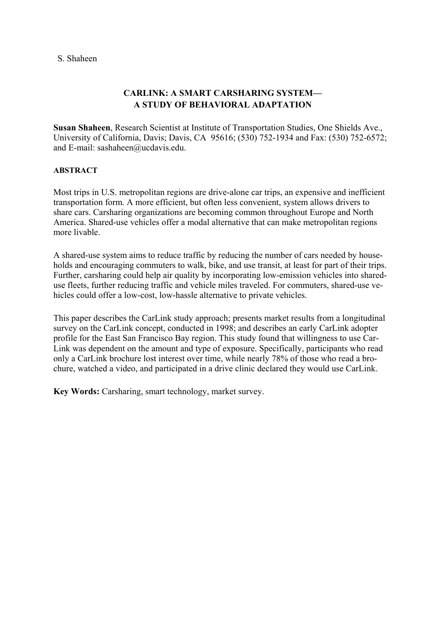# **CARLINK: A SMART CARSHARING SYSTEM— A STUDY OF BEHAVIORAL ADAPTATION**

**Susan Shaheen**, Research Scientist at Institute of Transportation Studies, One Shields Ave., University of California, Davis; Davis, CA 95616; (530) 752-1934 and Fax: (530) 752-6572; and E-mail: sashaheen@ucdavis.edu.

# **ABSTRACT**

Most trips in U.S. metropolitan regions are drive-alone car trips, an expensive and inefficient transportation form. A more efficient, but often less convenient, system allows drivers to share cars. Carsharing organizations are becoming common throughout Europe and North America. Shared-use vehicles offer a modal alternative that can make metropolitan regions more livable.

A shared-use system aims to reduce traffic by reducing the number of cars needed by households and encouraging commuters to walk, bike, and use transit, at least for part of their trips. Further, carsharing could help air quality by incorporating low-emission vehicles into shareduse fleets, further reducing traffic and vehicle miles traveled. For commuters, shared-use vehicles could offer a low-cost, low-hassle alternative to private vehicles.

This paper describes the CarLink study approach; presents market results from a longitudinal survey on the CarLink concept, conducted in 1998; and describes an early CarLink adopter profile for the East San Francisco Bay region. This study found that willingness to use Car-Link was dependent on the amount and type of exposure. Specifically, participants who read only a CarLink brochure lost interest over time, while nearly 78% of those who read a brochure, watched a video, and participated in a drive clinic declared they would use CarLink.

**Key Words:** Carsharing, smart technology, market survey.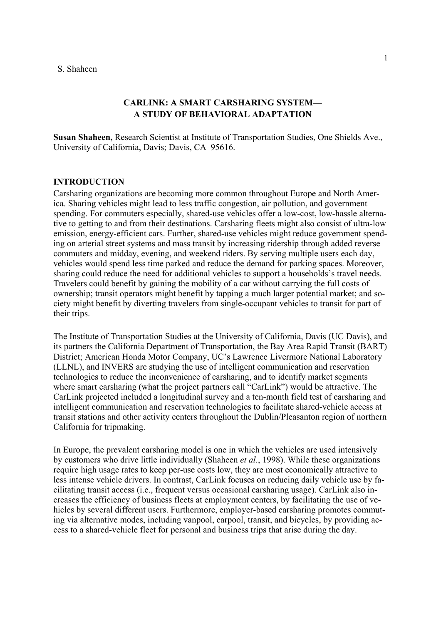# **CARLINK: A SMART CARSHARING SYSTEM— A STUDY OF BEHAVIORAL ADAPTATION**

**Susan Shaheen,** Research Scientist at Institute of Transportation Studies, One Shields Ave., University of California, Davis; Davis, CA 95616.

### **INTRODUCTION**

Carsharing organizations are becoming more common throughout Europe and North America. Sharing vehicles might lead to less traffic congestion, air pollution, and government spending. For commuters especially, shared-use vehicles offer a low-cost, low-hassle alternative to getting to and from their destinations. Carsharing fleets might also consist of ultra-low emission, energy-efficient cars. Further, shared-use vehicles might reduce government spending on arterial street systems and mass transit by increasing ridership through added reverse commuters and midday, evening, and weekend riders. By serving multiple users each day, vehicles would spend less time parked and reduce the demand for parking spaces. Moreover, sharing could reduce the need for additional vehicles to support a households's travel needs. Travelers could benefit by gaining the mobility of a car without carrying the full costs of ownership; transit operators might benefit by tapping a much larger potential market; and society might benefit by diverting travelers from single-occupant vehicles to transit for part of their trips.

The Institute of Transportation Studies at the University of California, Davis (UC Davis), and its partners the California Department of Transportation, the Bay Area Rapid Transit (BART) District; American Honda Motor Company, UC's Lawrence Livermore National Laboratory (LLNL), and INVERS are studying the use of intelligent communication and reservation technologies to reduce the inconvenience of carsharing, and to identify market segments where smart carsharing (what the project partners call "CarLink") would be attractive. The CarLink projected included a longitudinal survey and a ten-month field test of carsharing and intelligent communication and reservation technologies to facilitate shared-vehicle access at transit stations and other activity centers throughout the Dublin/Pleasanton region of northern California for tripmaking.

In Europe, the prevalent carsharing model is one in which the vehicles are used intensively by customers who drive little individually (Shaheen *et al.*, 1998). While these organizations require high usage rates to keep per-use costs low, they are most economically attractive to less intense vehicle drivers. In contrast, CarLink focuses on reducing daily vehicle use by facilitating transit access (i.e., frequent versus occasional carsharing usage). CarLink also increases the efficiency of business fleets at employment centers, by facilitating the use of vehicles by several different users. Furthermore, employer-based carsharing promotes commuting via alternative modes, including vanpool, carpool, transit, and bicycles, by providing access to a shared-vehicle fleet for personal and business trips that arise during the day.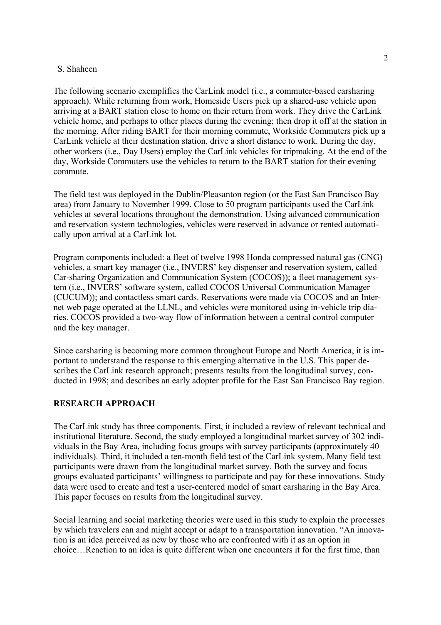The following scenario exemplifies the CarLink model (i.e., a commuter-based carsharing approach). While returning from work, Homeside Users pick up a shared-use vehicle upon arriving at a BART station close to home on their return from work. They drive the CarLink vehicle home, and perhaps to other places during the evening; then drop it off at the station in the morning. After riding BART for their morning commute, Workside Commuters pick up a CarLink vehicle at their destination station, drive a short distance to work. During the day, other workers (i.e., Day Users) employ the CarLink vehicles for tripmaking. At the end of the day, Workside Commuters use the vehicles to return to the BART station for their evening commute.

The field test was deployed in the Dublin/Pleasanton region (or the East San Francisco Bay area) from January to November 1999. Close to 50 program participants used the CarLink vehicles at several locations throughout the demonstration. Using advanced communication and reservation system technologies, vehicles were reserved in advance or rented automatically upon arrival at a CarLink lot.

Program components included: a fleet of twelve 1998 Honda compressed natural gas (CNG) vehicles, a smart key manager (i.e., INVERS' key dispenser and reservation system, called Car-sharing Organization and Communication System (COCOS)); a fleet management system (i.e., INVERS' software system, called COCOS Universal Communication Manager (CUCUM)); and contactless smart cards. Reservations were made via COCOS and an Internet web page operated at the LLNL, and vehicles were monitored using in-vehicle trip diaries. COCOS provided a two-way flow of information between a central control computer and the key manager.

Since carsharing is becoming more common throughout Europe and North America, it is important to understand the response to this emerging alternative in the U.S. This paper describes the CarLink research approach; presents results from the longitudinal survey, conducted in 1998; and describes an early adopter profile for the East San Francisco Bay region.

# **RESEARCH APPROACH**

The CarLink study has three components. First, it included a review of relevant technical and institutional literature. Second, the study employed a longitudinal market survey of 302 individuals in the Bay Area, including focus groups with survey participants (approximately 40 individuals). Third, it included a ten-month field test of the CarLink system. Many field test participants were drawn from the longitudinal market survey. Both the survey and focus groups evaluated participants' willingness to participate and pay for these innovations. Study data were used to create and test a user-centered model of smart carsharing in the Bay Area. This paper focuses on results from the longitudinal survey.

Social learning and social marketing theories were used in this study to explain the processes by which travelers can and might accept or adapt to a transportation innovation. "An innovation is an idea perceived as new by those who are confronted with it as an option in choice…Reaction to an idea is quite different when one encounters it for the first time, than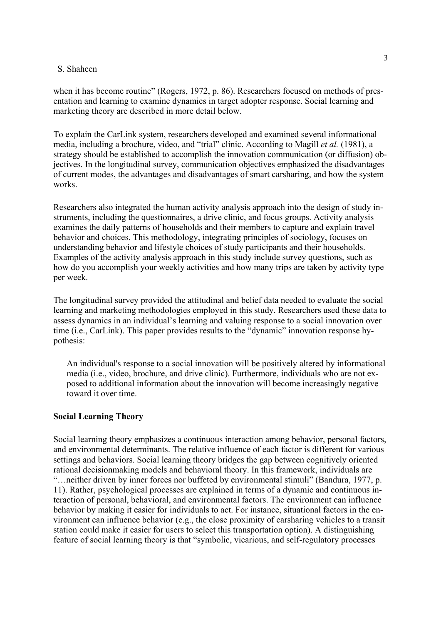when it has become routine" (Rogers, 1972, p. 86). Researchers focused on methods of presentation and learning to examine dynamics in target adopter response. Social learning and marketing theory are described in more detail below.

To explain the CarLink system, researchers developed and examined several informational media, including a brochure, video, and "trial" clinic. According to Magill *et al.* (1981), a strategy should be established to accomplish the innovation communication (or diffusion) objectives. In the longitudinal survey, communication objectives emphasized the disadvantages of current modes, the advantages and disadvantages of smart carsharing, and how the system works.

how do you accomplish your weekly activities and how many trips are taken by activity type per week. Researchers also integrated the human activity analysis approach into the design of study instruments, including the questionnaires, a drive clinic, and focus groups. Activity analysis examines the daily patterns of households and their members to capture and explain travel behavior and choices. This methodology, integrating principles of sociology, focuses on understanding behavior and lifestyle choices of study participants and their households. Examples of the activity analysis approach in this study include survey questions, such as

The longitudinal survey provided the attitudinal and belief data needed to evaluate the social learning and marketing methodologies employed in this study. Researchers used these data to assess dynamics in an individual's learning and valuing response to a social innovation over time (i.e., CarLink). This paper provides results to the "dynamic" innovation response hypothesis:

An individual's response to a social innovation will be positively altered by informational media (i.e., video, brochure, and drive clinic). Furthermore, individuals who are not exposed to additional information about the innovation will become increasingly negative toward it over time.

### **Social Learning Theory**

Social learning theory emphasizes a continuous interaction among behavior, personal factors, and environmental determinants. The relative influence of each factor is different for various settings and behaviors. Social learning theory bridges the gap between cognitively oriented rational decisionmaking models and behavioral theory. In this framework, individuals are "…neither driven by inner forces nor buffeted by environmental stimuli" (Bandura, 1977, p. 11). Rather, psychological processes are explained in terms of a dynamic and continuous interaction of personal, behavioral, and environmental factors. The environment can influence behavior by making it easier for individuals to act. For instance, situational factors in the environment can influence behavior (e.g., the close proximity of carsharing vehicles to a transit station could make it easier for users to select this transportation option). A distinguishing feature of social learning theory is that "symbolic, vicarious, and self-regulatory processes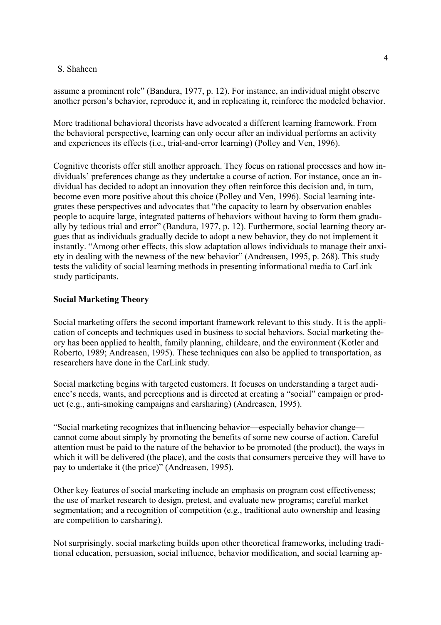assume a prominent role" (Bandura, 1977, p. 12). For instance, an individual might observe another person's behavior, reproduce it, and in replicating it, reinforce the modeled behavior.

More traditional behavioral theorists have advocated a different learning framework. From the behavioral perspective, learning can only occur after an individual performs an activity and experiences its effects (i.e., trial-and-error learning) (Polley and Ven, 1996).

Cognitive theorists offer still another approach. They focus on rational processes and how individuals' preferences change as they undertake a course of action. For instance, once an individual has decided to adopt an innovation they often reinforce this decision and, in turn, become even more positive about this choice (Polley and Ven, 1996). Social learning integrates these perspectives and advocates that "the capacity to learn by observation enables people to acquire large, integrated patterns of behaviors without having to form them gradually by tedious trial and error" (Bandura, 1977, p. 12). Furthermore, social learning theory argues that as individuals gradually decide to adopt a new behavior, they do not implement it instantly. "Among other effects, this slow adaptation allows individuals to manage their anxiety in dealing with the newness of the new behavior" (Andreasen, 1995, p. 268). This study tests the validity of social learning methods in presenting informational media to CarLink study participants.

### **Social Marketing Theory**

Social marketing offers the second important framework relevant to this study. It is the application of concepts and techniques used in business to social behaviors. Social marketing theory has been applied to health, family planning, childcare, and the environment (Kotler and Roberto, 1989; Andreasen, 1995). These techniques can also be applied to transportation, as researchers have done in the CarLink study.

Social marketing begins with targeted customers. It focuses on understanding a target audience's needs, wants, and perceptions and is directed at creating a "social" campaign or product (e.g., anti-smoking campaigns and carsharing) (Andreasen, 1995).

"Social marketing recognizes that influencing behavior—especially behavior change cannot come about simply by promoting the benefits of some new course of action. Careful attention must be paid to the nature of the behavior to be promoted (the product), the ways in which it will be delivered (the place), and the costs that consumers perceive they will have to pay to undertake it (the price)" (Andreasen, 1995).

Other key features of social marketing include an emphasis on program cost effectiveness; the use of market research to design, pretest, and evaluate new programs; careful market segmentation; and a recognition of competition (e.g., traditional auto ownership and leasing are competition to carsharing).

Not surprisingly, social marketing builds upon other theoretical frameworks, including traditional education, persuasion, social influence, behavior modification, and social learning ap-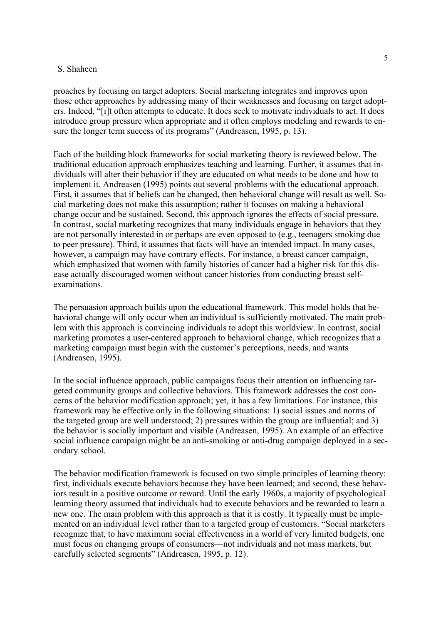proaches by focusing on target adopters. Social marketing integrates and improves upon those other approaches by addressing many of their weaknesses and focusing on target adopters. Indeed, "[i]t often attempts to educate. It does seek to motivate individuals to act. It does introduce group pressure when appropriate and it often employs modeling and rewards to ensure the longer term success of its programs" (Andreasen, 1995, p. 13).

Each of the building block frameworks for social marketing theory is reviewed below. The traditional education approach emphasizes teaching and learning. Further, it assumes that individuals will alter their behavior if they are educated on what needs to be done and how to implement it. Andreasen (1995) points out several problems with the educational approach. First, it assumes that if beliefs can be changed, then behavioral change will result as well. Social marketing does not make this assumption; rather it focuses on making a behavioral change occur and be sustained. Second, this approach ignores the effects of social pressure. In contrast, social marketing recognizes that many individuals engage in behaviors that they are not personally interested in or perhaps are even opposed to (e.g., teenagers smoking due to peer pressure). Third, it assumes that facts will have an intended impact. In many cases, however, a campaign may have contrary effects. For instance, a breast cancer campaign, which emphasized that women with family histories of cancer had a higher risk for this disease actually discouraged women without cancer histories from conducting breast selfexaminations.

The persuasion approach builds upon the educational framework. This model holds that behavioral change will only occur when an individual is sufficiently motivated. The main problem with this approach is convincing individuals to adopt this worldview. In contrast, social marketing promotes a user-centered approach to behavioral change, which recognizes that a marketing campaign must begin with the customer's perceptions, needs, and wants (Andreasen, 1995).

In the social influence approach, public campaigns focus their attention on influencing targeted community groups and collective behaviors. This framework addresses the cost concerns of the behavior modification approach; yet, it has a few limitations. For instance, this framework may be effective only in the following situations: 1) social issues and norms of the targeted group are well understood; 2) pressures within the group are influential; and 3) the behavior is socially important and visible (Andreasen, 1995). An example of an effective social influence campaign might be an anti-smoking or anti-drug campaign deployed in a secondary school.

The behavior modification framework is focused on two simple principles of learning theory: first, individuals execute behaviors because they have been learned; and second, these behaviors result in a positive outcome or reward. Until the early 1960s, a majority of psychological learning theory assumed that individuals had to execute behaviors and be rewarded to learn a new one. The main problem with this approach is that it is costly. It typically must be implemented on an individual level rather than to a targeted group of customers. "Social marketers recognize that, to have maximum social effectiveness in a world of very limited budgets, one must focus on changing groups of consumers—not individuals and not mass markets, but carefully selected segments" (Andreasen, 1995, p. 12).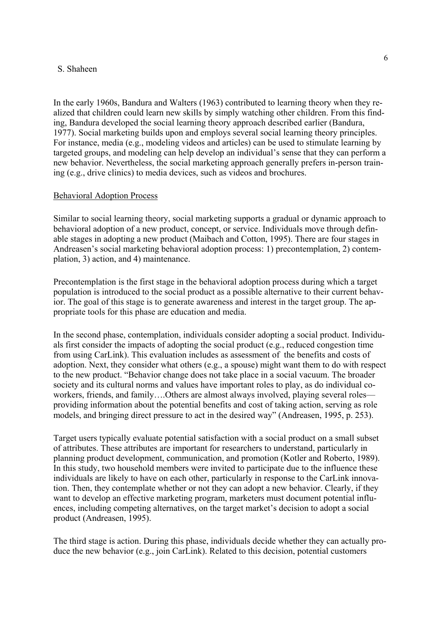In the early 1960s, Bandura and Walters (1963) contributed to learning theory when they realized that children could learn new skills by simply watching other children. From this finding, Bandura developed the social learning theory approach described earlier (Bandura, 1977). Social marketing builds upon and employs several social learning theory principles. For instance, media (e.g., modeling videos and articles) can be used to stimulate learning by targeted groups, and modeling can help develop an individual's sense that they can perform a new behavior. Nevertheless, the social marketing approach generally prefers in-person training (e.g., drive clinics) to media devices, such as videos and brochures.

### Behavioral Adoption Process

Similar to social learning theory, social marketing supports a gradual or dynamic approach to behavioral adoption of a new product, concept, or service. Individuals move through definable stages in adopting a new product (Maibach and Cotton, 1995). There are four stages in Andreasen's social marketing behavioral adoption process: 1) precontemplation, 2) contemplation, 3) action, and 4) maintenance.

Precontemplation is the first stage in the behavioral adoption process during which a target population is introduced to the social product as a possible alternative to their current behavior. The goal of this stage is to generate awareness and interest in the target group. The appropriate tools for this phase are education and media.

In the second phase, contemplation, individuals consider adopting a social product. Individuals first consider the impacts of adopting the social product (e.g., reduced congestion time from using CarLink). This evaluation includes as assessment of the benefits and costs of adoption. Next, they consider what others (e.g., a spouse) might want them to do with respect to the new product. "Behavior change does not take place in a social vacuum. The broader society and its cultural norms and values have important roles to play, as do individual coworkers, friends, and family....Others are almost always involved, playing several roles providing information about the potential benefits and cost of taking action, serving as role models, and bringing direct pressure to act in the desired way" (Andreasen, 1995, p. 253).

Target users typically evaluate potential satisfaction with a social product on a small subset of attributes. These attributes are important for researchers to understand, particularly in planning product development, communication, and promotion (Kotler and Roberto, 1989). In this study, two household members were invited to participate due to the influence these individuals are likely to have on each other, particularly in response to the CarLink innovation. Then, they contemplate whether or not they can adopt a new behavior. Clearly, if they want to develop an effective marketing program, marketers must document potential influences, including competing alternatives, on the target market's decision to adopt a social product (Andreasen, 1995).

The third stage is action. During this phase, individuals decide whether they can actually produce the new behavior (e.g., join CarLink). Related to this decision, potential customers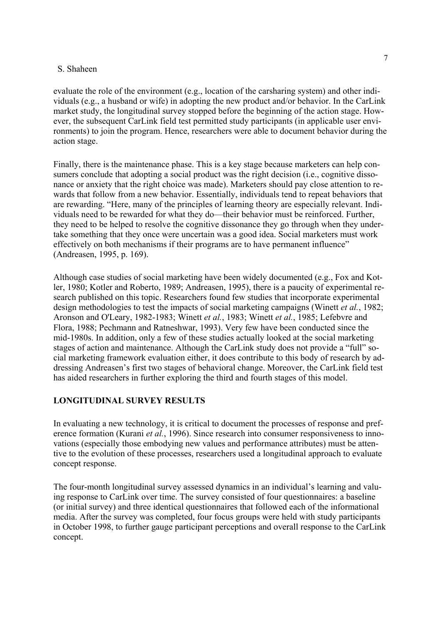evaluate the role of the environment (e.g., location of the carsharing system) and other individuals (e.g., a husband or wife) in adopting the new product and/or behavior. In the CarLink market study, the longitudinal survey stopped before the beginning of the action stage. However, the subsequent CarLink field test permitted study participants (in applicable user environments) to join the program. Hence, researchers were able to document behavior during the action stage.

Finally, there is the maintenance phase. This is a key stage because marketers can help consumers conclude that adopting a social product was the right decision (i.e., cognitive dissonance or anxiety that the right choice was made). Marketers should pay close attention to rewards that follow from a new behavior. Essentially, individuals tend to repeat behaviors that are rewarding. "Here, many of the principles of learning theory are especially relevant. Individuals need to be rewarded for what they do—their behavior must be reinforced. Further, they need to be helped to resolve the cognitive dissonance they go through when they undertake something that they once were uncertain was a good idea. Social marketers must work effectively on both mechanisms if their programs are to have permanent influence" (Andreasen, 1995, p. 169).

Although case studies of social marketing have been widely documented (e.g., Fox and Kotler, 1980; Kotler and Roberto, 1989; Andreasen, 1995), there is a paucity of experimental research published on this topic. Researchers found few studies that incorporate experimental design methodologies to test the impacts of social marketing campaigns (Winett *et al.*, 1982; Aronson and O'Leary, 1982-1983; Winett *et al.*, 1983; Winett *et al.*, 1985; Lefebvre and Flora, 1988; Pechmann and Ratneshwar, 1993). Very few have been conducted since the mid-1980s. In addition, only a few of these studies actually looked at the social marketing stages of action and maintenance. Although the CarLink study does not provide a "full" social marketing framework evaluation either, it does contribute to this body of research by addressing Andreasen's first two stages of behavioral change. Moreover, the CarLink field test has aided researchers in further exploring the third and fourth stages of this model.

### **LONGITUDINAL SURVEY RESULTS**

In evaluating a new technology, it is critical to document the processes of response and preference formation (Kurani *et al.*, 1996). Since research into consumer responsiveness to innovations (especially those embodying new values and performance attributes) must be attentive to the evolution of these processes, researchers used a longitudinal approach to evaluate concept response.

The four-month longitudinal survey assessed dynamics in an individual's learning and valuing response to CarLink over time. The survey consisted of four questionnaires: a baseline (or initial survey) and three identical questionnaires that followed each of the informational media. After the survey was completed, four focus groups were held with study participants in October 1998, to further gauge participant perceptions and overall response to the CarLink concept.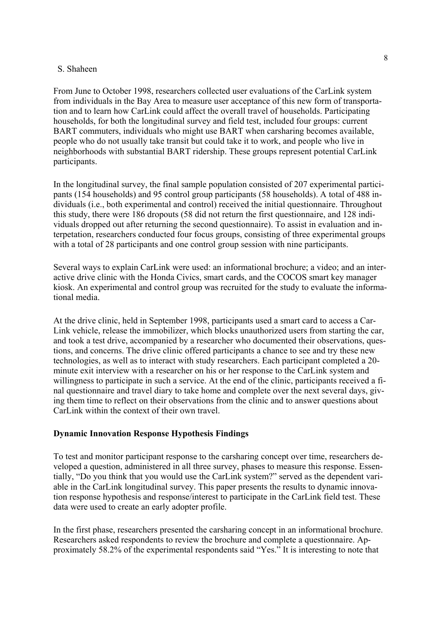From June to October 1998, researchers collected user evaluations of the CarLink system from individuals in the Bay Area to measure user acceptance of this new form of transportation and to learn how CarLink could affect the overall travel of households. Participating households, for both the longitudinal survey and field test, included four groups: current BART commuters, individuals who might use BART when carsharing becomes available, people who do not usually take transit but could take it to work, and people who live in neighborhoods with substantial BART ridership. These groups represent potential CarLink participants.

In the longitudinal survey, the final sample population consisted of 207 experimental participants (154 households) and 95 control group participants (58 households). A total of 488 individuals (i.e., both experimental and control) received the initial questionnaire. Throughout this study, there were 186 dropouts (58 did not return the first questionnaire, and 128 individuals dropped out after returning the second questionnaire). To assist in evaluation and interpetation, researchers conducted four focus groups, consisting of three experimental groups with a total of 28 participants and one control group session with nine participants.

Several ways to explain CarLink were used: an informational brochure; a video; and an interactive drive clinic with the Honda Civics, smart cards, and the COCOS smart key manager kiosk. An experimental and control group was recruited for the study to evaluate the informational media.

At the drive clinic, held in September 1998, participants used a smart card to access a Car-Link vehicle, release the immobilizer, which blocks unauthorized users from starting the car, and took a test drive, accompanied by a researcher who documented their observations, questions, and concerns. The drive clinic offered participants a chance to see and try these new technologies, as well as to interact with study researchers. Each participant completed a 20 minute exit interview with a researcher on his or her response to the CarLink system and willingness to participate in such a service. At the end of the clinic, participants received a final questionnaire and travel diary to take home and complete over the next several days, giving them time to reflect on their observations from the clinic and to answer questions about CarLink within the context of their own travel.

# **Dynamic Innovation Response Hypothesis Findings**

To test and monitor participant response to the carsharing concept over time, researchers developed a question, administered in all three survey, phases to measure this response. Essentially, "Do you think that you would use the CarLink system?" served as the dependent variable in the CarLink longitudinal survey. This paper presents the results to dynamic innovation response hypothesis and response/interest to participate in the CarLink field test. These data were used to create an early adopter profile.

In the first phase, researchers presented the carsharing concept in an informational brochure. Researchers asked respondents to review the brochure and complete a questionnaire. Approximately 58.2% of the experimental respondents said "Yes." It is interesting to note that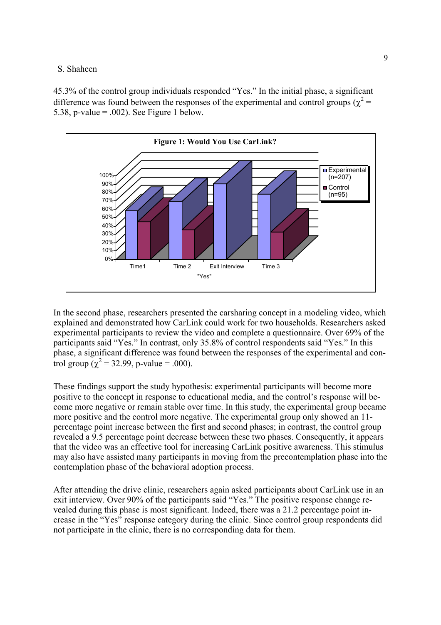45.3% of the control group individuals responded "Yes." In the initial phase, a significant difference was found between the responses of the experimental and control groups ( $\chi^2$  = 5.38, p-value  $= .002$ ). See Figure 1 below.



In the second phase, researchers presented the carsharing concept in a modeling video, which explained and demonstrated how CarLink could work for two households. Researchers asked experimental participants to review the video and complete a questionnaire. Over 69% of the participants said "Yes." In contrast, only 35.8% of control respondents said "Yes." In this phase, a significant difference was found between the responses of the experimental and control group ( $\chi^2$  = 32.99, p-value = .000).

These findings support the study hypothesis: experimental participants will become more positive to the concept in response to educational media, and the control's response will become more negative or remain stable over time. In this study, the experimental group became more positive and the control more negative. The experimental group only showed an 11 percentage point increase between the first and second phases; in contrast, the control group revealed a 9.5 percentage point decrease between these two phases. Consequently, it appears that the video was an effective tool for increasing CarLink positive awareness. This stimulus may also have assisted many participants in moving from the precontemplation phase into the contemplation phase of the behavioral adoption process.

After attending the drive clinic, researchers again asked participants about CarLink use in an exit interview. Over 90% of the participants said "Yes." The positive response change revealed during this phase is most significant. Indeed, there was a 21.2 percentage point increase in the "Yes" response category during the clinic. Since control group respondents did not participate in the clinic, there is no corresponding data for them.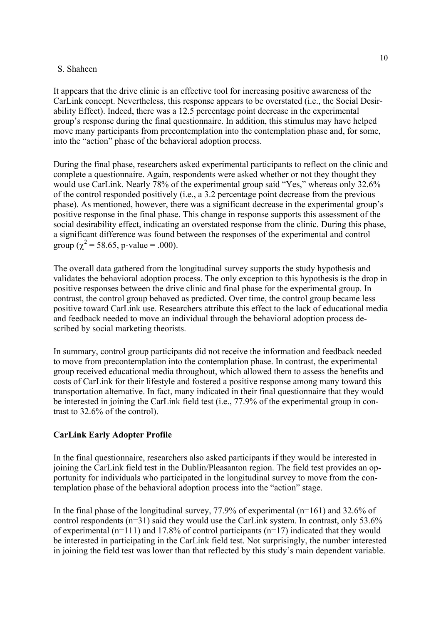It appears that the drive clinic is an effective tool for increasing positive awareness of the CarLink concept. Nevertheless, this response appears to be overstated (i.e., the Social Desirability Effect). Indeed, there was a 12.5 percentage point decrease in the experimental group's response during the final questionnaire. In addition, this stimulus may have helped move many participants from precontemplation into the contemplation phase and, for some, into the "action" phase of the behavioral adoption process.

During the final phase, researchers asked experimental participants to reflect on the clinic and complete a questionnaire. Again, respondents were asked whether or not they thought they would use CarLink. Nearly 78% of the experimental group said "Yes," whereas only 32.6% of the control responded positively (i.e., a 3.2 percentage point decrease from the previous phase). As mentioned, however, there was a significant decrease in the experimental group's positive response in the final phase. This change in response supports this assessment of the social desirability effect, indicating an overstated response from the clinic. During this phase, a significant difference was found between the responses of the experimental and control group ( $\chi^2$  = 58.65, p-value = .000).

The overall data gathered from the longitudinal survey supports the study hypothesis and validates the behavioral adoption process. The only exception to this hypothesis is the drop in positive responses between the drive clinic and final phase for the experimental group. In contrast, the control group behaved as predicted. Over time, the control group became less positive toward CarLink use. Researchers attribute this effect to the lack of educational media and feedback needed to move an individual through the behavioral adoption process described by social marketing theorists.

In summary, control group participants did not receive the information and feedback needed to move from precontemplation into the contemplation phase. In contrast, the experimental group received educational media throughout, which allowed them to assess the benefits and costs of CarLink for their lifestyle and fostered a positive response among many toward this transportation alternative. In fact, many indicated in their final questionnaire that they would be interested in joining the CarLink field test (i.e., 77.9% of the experimental group in contrast to 32.6% of the control).

# **CarLink Early Adopter Profile**

In the final questionnaire, researchers also asked participants if they would be interested in joining the CarLink field test in the Dublin/Pleasanton region. The field test provides an opportunity for individuals who participated in the longitudinal survey to move from the contemplation phase of the behavioral adoption process into the "action" stage.

In the final phase of the longitudinal survey, 77.9% of experimental (n=161) and 32.6% of control respondents (n=31) said they would use the CarLink system. In contrast, only 53.6% of experimental (n=111) and 17.8% of control participants (n=17) indicated that they would be interested in participating in the CarLink field test. Not surprisingly, the number interested in joining the field test was lower than that reflected by this study's main dependent variable.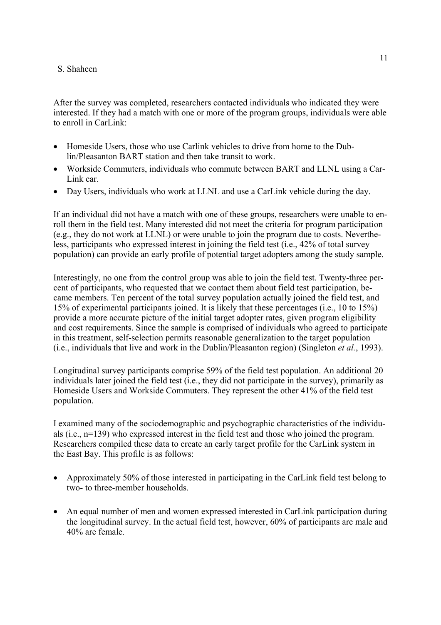After the survey was completed, researchers contacted individuals who indicated they were interested. If they had a match with one or more of the program groups, individuals were able to enroll in CarLink:

- Homeside Users, those who use Carlink vehicles to drive from home to the Dublin/Pleasanton BART station and then take transit to work.
- Workside Commuters, individuals who commute between BART and LLNL using a Car-Link car.
- Day Users, individuals who work at LLNL and use a CarLink vehicle during the day.

If an individual did not have a match with one of these groups, researchers were unable to enroll them in the field test. Many interested did not meet the criteria for program participation (e.g., they do not work at LLNL) or were unable to join the program due to costs. Nevertheless, participants who expressed interest in joining the field test (i.e., 42% of total survey population) can provide an early profile of potential target adopters among the study sample.

Interestingly, no one from the control group was able to join the field test. Twenty-three percent of participants, who requested that we contact them about field test participation, became members. Ten percent of the total survey population actually joined the field test, and 15% of experimental participants joined. It is likely that these percentages (i.e., 10 to 15%) provide a more accurate picture of the initial target adopter rates, given program eligibility and cost requirements. Since the sample is comprised of individuals who agreed to participate in this treatment, self-selection permits reasonable generalization to the target population (i.e., individuals that live and work in the Dublin/Pleasanton region) (Singleton *et al.*, 1993).

Longitudinal survey participants comprise 59% of the field test population. An additional 20 individuals later joined the field test (i.e., they did not participate in the survey), primarily as Homeside Users and Workside Commuters. They represent the other 41% of the field test population.

I examined many of the sociodemographic and psychographic characteristics of the individuals (i.e., n=139) who expressed interest in the field test and those who joined the program. Researchers compiled these data to create an early target profile for the CarLink system in the East Bay. This profile is as follows:

- Approximately 50% of those interested in participating in the CarLink field test belong to two- to three-member households.
- An equal number of men and women expressed interested in CarLink participation during the longitudinal survey. In the actual field test, however, 60% of participants are male and 40% are female.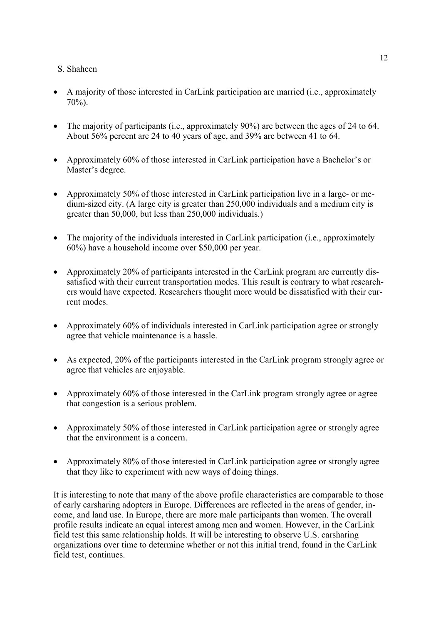- A majority of those interested in CarLink participation are married (i.e., approximately 70%).
- The majority of participants (i.e., approximately 90%) are between the ages of 24 to 64. About 56% percent are 24 to 40 years of age, and 39% are between 41 to 64.
- Approximately 60% of those interested in CarLink participation have a Bachelor's or Master's degree.
- Approximately 50% of those interested in CarLink participation live in a large- or medium-sized city. (A large city is greater than 250,000 individuals and a medium city is greater than 50,000, but less than 250,000 individuals.)
- The majority of the individuals interested in CarLink participation (i.e., approximately 60%) have a household income over \$50,000 per year.
- Approximately 20% of participants interested in the CarLink program are currently dissatisfied with their current transportation modes. This result is contrary to what researchers would have expected. Researchers thought more would be dissatisfied with their current modes.
- Approximately 60% of individuals interested in CarLink participation agree or strongly agree that vehicle maintenance is a hassle.
- As expected, 20% of the participants interested in the CarLink program strongly agree or agree that vehicles are enjoyable.
- Approximately 60% of those interested in the CarLink program strongly agree or agree that congestion is a serious problem.
- Approximately 50% of those interested in CarLink participation agree or strongly agree that the environment is a concern.
- Approximately 80% of those interested in CarLink participation agree or strongly agree that they like to experiment with new ways of doing things.

It is interesting to note that many of the above profile characteristics are comparable to those of early carsharing adopters in Europe. Differences are reflected in the areas of gender, income, and land use. In Europe, there are more male participants than women. The overall profile results indicate an equal interest among men and women. However, in the CarLink field test this same relationship holds. It will be interesting to observe U.S. carsharing organizations over time to determine whether or not this initial trend, found in the CarLink field test, continues.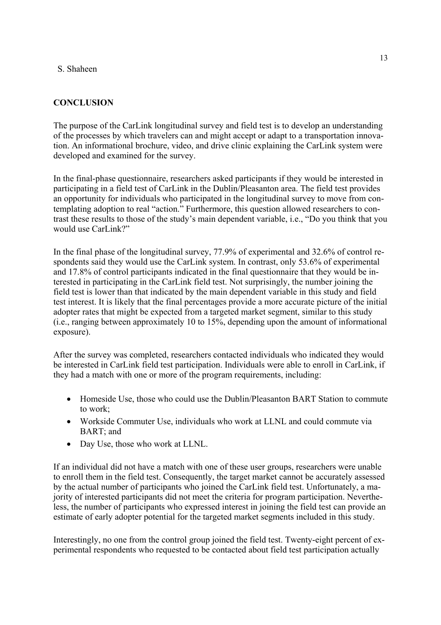# **CONCLUSION**

The purpose of the CarLink longitudinal survey and field test is to develop an understanding of the processes by which travelers can and might accept or adapt to a transportation innovation. An informational brochure, video, and drive clinic explaining the CarLink system were developed and examined for the survey.

In the final-phase questionnaire, researchers asked participants if they would be interested in participating in a field test of CarLink in the Dublin/Pleasanton area. The field test provides an opportunity for individuals who participated in the longitudinal survey to move from contemplating adoption to real "action." Furthermore, this question allowed researchers to contrast these results to those of the study's main dependent variable, i.e., "Do you think that you would use CarLink?"

In the final phase of the longitudinal survey, 77.9% of experimental and 32.6% of control respondents said they would use the CarLink system. In contrast, only 53.6% of experimental and 17.8% of control participants indicated in the final questionnaire that they would be interested in participating in the CarLink field test. Not surprisingly, the number joining the field test is lower than that indicated by the main dependent variable in this study and field test interest. It is likely that the final percentages provide a more accurate picture of the initial adopter rates that might be expected from a targeted market segment, similar to this study (i.e., ranging between approximately 10 to 15%, depending upon the amount of informational exposure).

After the survey was completed, researchers contacted individuals who indicated they would be interested in CarLink field test participation. Individuals were able to enroll in CarLink, if they had a match with one or more of the program requirements, including:

- Homeside Use, those who could use the Dublin/Pleasanton BART Station to commute to work;
- Workside Commuter Use, individuals who work at LLNL and could commute via BART; and
- Day Use, those who work at LLNL.

If an individual did not have a match with one of these user groups, researchers were unable to enroll them in the field test. Consequently, the target market cannot be accurately assessed by the actual number of participants who joined the CarLink field test. Unfortunately, a majority of interested participants did not meet the criteria for program participation. Nevertheless, the number of participants who expressed interest in joining the field test can provide an estimate of early adopter potential for the targeted market segments included in this study.

Interestingly, no one from the control group joined the field test. Twenty-eight percent of experimental respondents who requested to be contacted about field test participation actually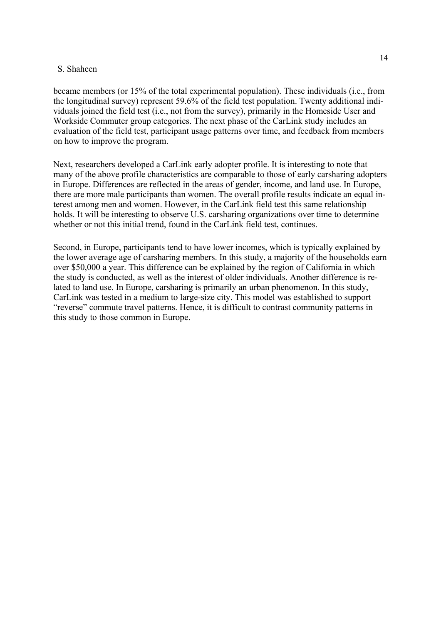became members (or 15% of the total experimental population). These individuals (i.e., from the longitudinal survey) represent 59.6% of the field test population. Twenty additional individuals joined the field test (i.e., not from the survey), primarily in the Homeside User and Workside Commuter group categories. The next phase of the CarLink study includes an evaluation of the field test, participant usage patterns over time, and feedback from members on how to improve the program.

Next, researchers developed a CarLink early adopter profile. It is interesting to note that many of the above profile characteristics are comparable to those of early carsharing adopters in Europe. Differences are reflected in the areas of gender, income, and land use. In Europe, there are more male participants than women. The overall profile results indicate an equal interest among men and women. However, in the CarLink field test this same relationship holds. It will be interesting to observe U.S. carsharing organizations over time to determine whether or not this initial trend, found in the CarLink field test, continues.

Second, in Europe, participants tend to have lower incomes, which is typically explained by the lower average age of carsharing members. In this study, a majority of the households earn over \$50,000 a year. This difference can be explained by the region of California in which the study is conducted, as well as the interest of older individuals. Another difference is related to land use. In Europe, carsharing is primarily an urban phenomenon. In this study, CarLink was tested in a medium to large-size city. This model was established to support "reverse" commute travel patterns. Hence, it is difficult to contrast community patterns in this study to those common in Europe.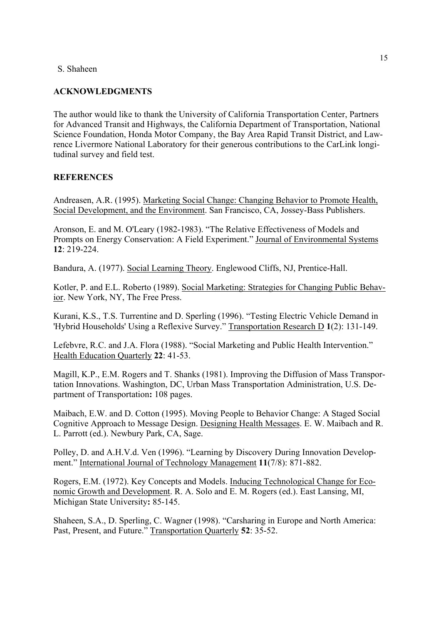## **ACKNOWLEDGMENTS**

The author would like to thank the University of California Transportation Center, Partners for Advanced Transit and Highways, the California Department of Transportation, National Science Foundation, Honda Motor Company, the Bay Area Rapid Transit District, and Lawrence Livermore National Laboratory for their generous contributions to the CarLink longitudinal survey and field test.

### **REFERENCES**

Andreasen, A.R. (1995). Marketing Social Change: Changing Behavior to Promote Health, Social Development, and the Environment. San Francisco, CA, Jossey-Bass Publishers.

Aronson, E. and M. O'Leary (1982-1983). "The Relative Effectiveness of Models and Prompts on Energy Conservation: A Field Experiment." Journal of Environmental Systems **12**: 219-224.

Bandura, A. (1977). Social Learning Theory. Englewood Cliffs, NJ, Prentice-Hall.

Kotler, P. and E.L. Roberto (1989). Social Marketing: Strategies for Changing Public Behavior. New York, NY, The Free Press.

Kurani, K.S., T.S. Turrentine and D. Sperling (1996). "Testing Electric Vehicle Demand in 'Hybrid Households' Using a Reflexive Survey." Transportation Research D **1**(2): 131-149.

Lefebvre, R.C. and J.A. Flora (1988). "Social Marketing and Public Health Intervention." Health Education Quarterly **22**: 41-53.

Magill, K.P., E.M. Rogers and T. Shanks (1981). Improving the Diffusion of Mass Transportation Innovations. Washington, DC, Urban Mass Transportation Administration, U.S. Department of Transportation**:** 108 pages.

Maibach, E.W. and D. Cotton (1995). Moving People to Behavior Change: A Staged Social Cognitive Approach to Message Design. Designing Health Messages. E. W. Maibach and R. L. Parrott (ed.). Newbury Park, CA, Sage.

Polley, D. and A.H.V.d. Ven (1996). "Learning by Discovery During Innovation Development." International Journal of Technology Management **11**(7/8): 871-882.

Rogers, E.M. (1972). Key Concepts and Models. Inducing Technological Change for Economic Growth and Development. R. A. Solo and E. M. Rogers (ed.). East Lansing, MI, Michigan State University**:** 85-145.

Shaheen, S.A., D. Sperling, C. Wagner (1998). "Carsharing in Europe and North America: Past, Present, and Future." Transportation Quarterly **52**: 35-52.